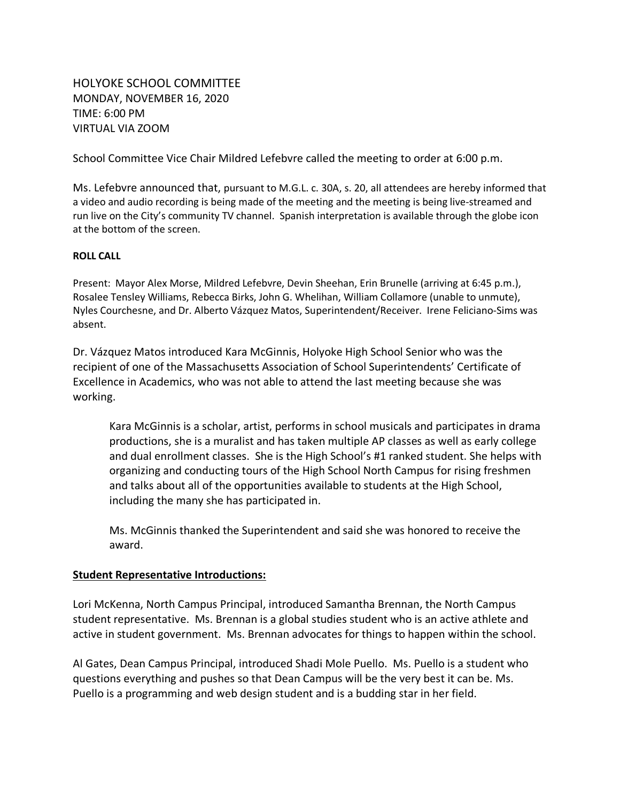HOLYOKE SCHOOL COMMITTEE MONDAY, NOVEMBER 16, 2020 TIME: 6:00 PM VIRTUAL VIA ZOOM

School Committee Vice Chair Mildred Lefebvre called the meeting to order at 6:00 p.m.

Ms. Lefebvre announced that, pursuant to M.G.L. c. 30A, s. 20, all attendees are hereby informed that a video and audio recording is being made of the meeting and the meeting is being live-streamed and run live on the City's community TV channel. Spanish interpretation is available through the globe icon at the bottom of the screen.

# **ROLL CALL**

Present: Mayor Alex Morse, Mildred Lefebvre, Devin Sheehan, Erin Brunelle (arriving at 6:45 p.m.), Rosalee Tensley Williams, Rebecca Birks, John G. Whelihan, William Collamore (unable to unmute), Nyles Courchesne, and Dr. Alberto Vázquez Matos, Superintendent/Receiver. Irene Feliciano-Sims was absent.

Dr. Vázquez Matos introduced Kara McGinnis, Holyoke High School Senior who was the recipient of one of the Massachusetts Association of School Superintendents' Certificate of Excellence in Academics, who was not able to attend the last meeting because she was working.

Kara McGinnis is a scholar, artist, performs in school musicals and participates in drama productions, she is a muralist and has taken multiple AP classes as well as early college and dual enrollment classes. She is the High School's #1 ranked student. She helps with organizing and conducting tours of the High School North Campus for rising freshmen and talks about all of the opportunities available to students at the High School, including the many she has participated in.

Ms. McGinnis thanked the Superintendent and said she was honored to receive the award.

# **Student Representative Introductions:**

Lori McKenna, North Campus Principal, introduced Samantha Brennan, the North Campus student representative. Ms. Brennan is a global studies student who is an active athlete and active in student government. Ms. Brennan advocates for things to happen within the school.

Al Gates, Dean Campus Principal, introduced Shadi Mole Puello. Ms. Puello is a student who questions everything and pushes so that Dean Campus will be the very best it can be. Ms. Puello is a programming and web design student and is a budding star in her field.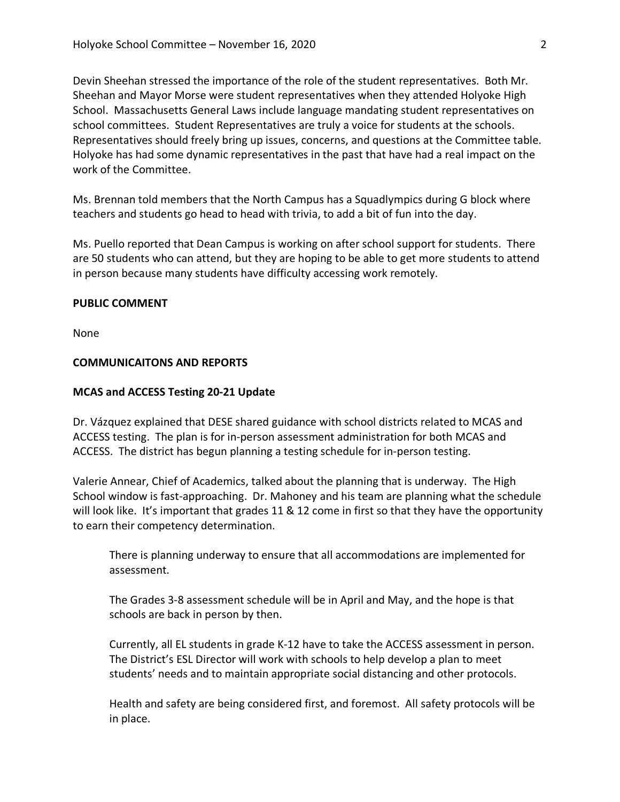Devin Sheehan stressed the importance of the role of the student representatives. Both Mr. Sheehan and Mayor Morse were student representatives when they attended Holyoke High School. Massachusetts General Laws include language mandating student representatives on school committees. Student Representatives are truly a voice for students at the schools. Representatives should freely bring up issues, concerns, and questions at the Committee table. Holyoke has had some dynamic representatives in the past that have had a real impact on the work of the Committee.

Ms. Brennan told members that the North Campus has a Squadlympics during G block where teachers and students go head to head with trivia, to add a bit of fun into the day.

Ms. Puello reported that Dean Campus is working on after school support for students. There are 50 students who can attend, but they are hoping to be able to get more students to attend in person because many students have difficulty accessing work remotely.

## **PUBLIC COMMENT**

None

# **COMMUNICAITONS AND REPORTS**

# **MCAS and ACCESS Testing 20-21 Update**

Dr. Vázquez explained that DESE shared guidance with school districts related to MCAS and ACCESS testing. The plan is for in-person assessment administration for both MCAS and ACCESS. The district has begun planning a testing schedule for in-person testing.

Valerie Annear, Chief of Academics, talked about the planning that is underway. The High School window is fast-approaching. Dr. Mahoney and his team are planning what the schedule will look like. It's important that grades 11 & 12 come in first so that they have the opportunity to earn their competency determination.

There is planning underway to ensure that all accommodations are implemented for assessment.

The Grades 3-8 assessment schedule will be in April and May, and the hope is that schools are back in person by then.

Currently, all EL students in grade K-12 have to take the ACCESS assessment in person. The District's ESL Director will work with schools to help develop a plan to meet students' needs and to maintain appropriate social distancing and other protocols.

Health and safety are being considered first, and foremost. All safety protocols will be in place.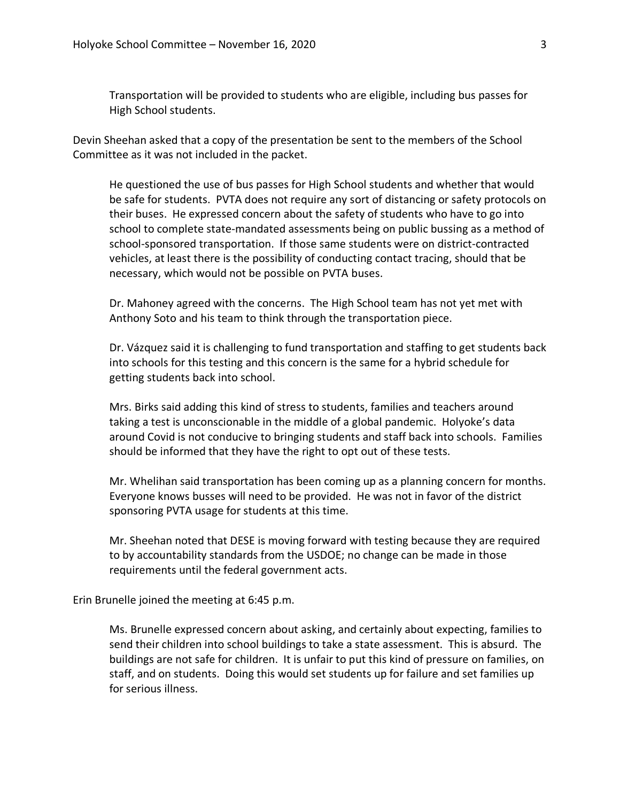Transportation will be provided to students who are eligible, including bus passes for High School students.

Devin Sheehan asked that a copy of the presentation be sent to the members of the School Committee as it was not included in the packet.

He questioned the use of bus passes for High School students and whether that would be safe for students. PVTA does not require any sort of distancing or safety protocols on their buses. He expressed concern about the safety of students who have to go into school to complete state-mandated assessments being on public bussing as a method of school-sponsored transportation. If those same students were on district-contracted vehicles, at least there is the possibility of conducting contact tracing, should that be necessary, which would not be possible on PVTA buses.

Dr. Mahoney agreed with the concerns. The High School team has not yet met with Anthony Soto and his team to think through the transportation piece.

Dr. Vázquez said it is challenging to fund transportation and staffing to get students back into schools for this testing and this concern is the same for a hybrid schedule for getting students back into school.

Mrs. Birks said adding this kind of stress to students, families and teachers around taking a test is unconscionable in the middle of a global pandemic. Holyoke's data around Covid is not conducive to bringing students and staff back into schools. Families should be informed that they have the right to opt out of these tests.

Mr. Whelihan said transportation has been coming up as a planning concern for months. Everyone knows busses will need to be provided. He was not in favor of the district sponsoring PVTA usage for students at this time.

Mr. Sheehan noted that DESE is moving forward with testing because they are required to by accountability standards from the USDOE; no change can be made in those requirements until the federal government acts.

Erin Brunelle joined the meeting at 6:45 p.m.

Ms. Brunelle expressed concern about asking, and certainly about expecting, families to send their children into school buildings to take a state assessment. This is absurd. The buildings are not safe for children. It is unfair to put this kind of pressure on families, on staff, and on students. Doing this would set students up for failure and set families up for serious illness.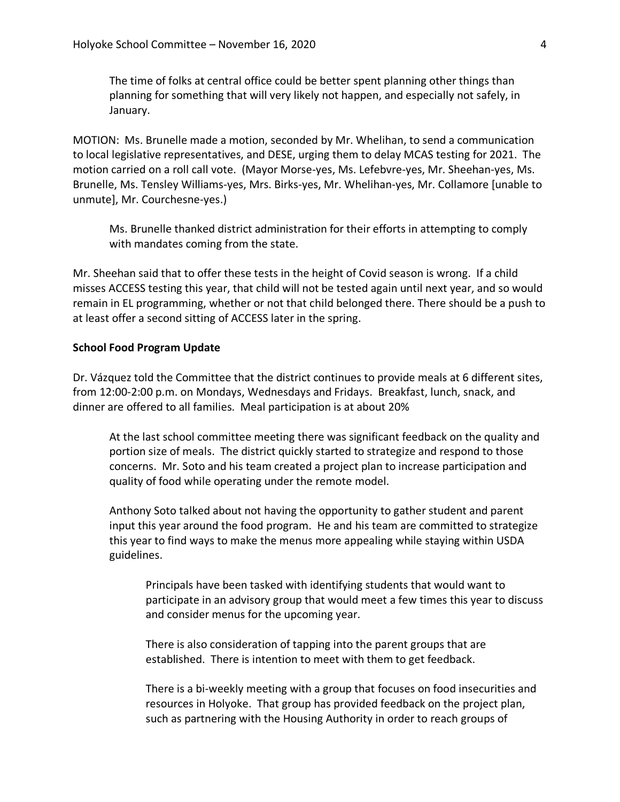The time of folks at central office could be better spent planning other things than planning for something that will very likely not happen, and especially not safely, in January.

MOTION: Ms. Brunelle made a motion, seconded by Mr. Whelihan, to send a communication to local legislative representatives, and DESE, urging them to delay MCAS testing for 2021. The motion carried on a roll call vote. (Mayor Morse-yes, Ms. Lefebvre-yes, Mr. Sheehan-yes, Ms. Brunelle, Ms. Tensley Williams-yes, Mrs. Birks-yes, Mr. Whelihan-yes, Mr. Collamore [unable to unmute], Mr. Courchesne-yes.)

Ms. Brunelle thanked district administration for their efforts in attempting to comply with mandates coming from the state.

Mr. Sheehan said that to offer these tests in the height of Covid season is wrong. If a child misses ACCESS testing this year, that child will not be tested again until next year, and so would remain in EL programming, whether or not that child belonged there. There should be a push to at least offer a second sitting of ACCESS later in the spring.

### **School Food Program Update**

Dr. Vázquez told the Committee that the district continues to provide meals at 6 different sites, from 12:00-2:00 p.m. on Mondays, Wednesdays and Fridays. Breakfast, lunch, snack, and dinner are offered to all families. Meal participation is at about 20%

At the last school committee meeting there was significant feedback on the quality and portion size of meals. The district quickly started to strategize and respond to those concerns. Mr. Soto and his team created a project plan to increase participation and quality of food while operating under the remote model.

Anthony Soto talked about not having the opportunity to gather student and parent input this year around the food program. He and his team are committed to strategize this year to find ways to make the menus more appealing while staying within USDA guidelines.

Principals have been tasked with identifying students that would want to participate in an advisory group that would meet a few times this year to discuss and consider menus for the upcoming year.

There is also consideration of tapping into the parent groups that are established. There is intention to meet with them to get feedback.

There is a bi-weekly meeting with a group that focuses on food insecurities and resources in Holyoke. That group has provided feedback on the project plan, such as partnering with the Housing Authority in order to reach groups of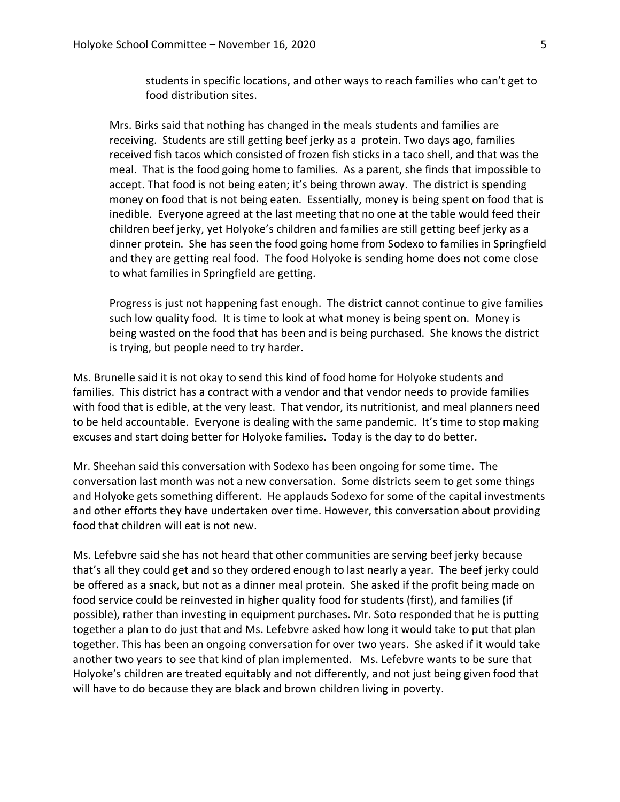students in specific locations, and other ways to reach families who can't get to food distribution sites.

Mrs. Birks said that nothing has changed in the meals students and families are receiving. Students are still getting beef jerky as a protein. Two days ago, families received fish tacos which consisted of frozen fish sticks in a taco shell, and that was the meal. That is the food going home to families. As a parent, she finds that impossible to accept. That food is not being eaten; it's being thrown away. The district is spending money on food that is not being eaten. Essentially, money is being spent on food that is inedible. Everyone agreed at the last meeting that no one at the table would feed their children beef jerky, yet Holyoke's children and families are still getting beef jerky as a dinner protein. She has seen the food going home from Sodexo to families in Springfield and they are getting real food. The food Holyoke is sending home does not come close to what families in Springfield are getting.

Progress is just not happening fast enough. The district cannot continue to give families such low quality food. It is time to look at what money is being spent on. Money is being wasted on the food that has been and is being purchased. She knows the district is trying, but people need to try harder.

Ms. Brunelle said it is not okay to send this kind of food home for Holyoke students and families. This district has a contract with a vendor and that vendor needs to provide families with food that is edible, at the very least. That vendor, its nutritionist, and meal planners need to be held accountable. Everyone is dealing with the same pandemic. It's time to stop making excuses and start doing better for Holyoke families. Today is the day to do better.

Mr. Sheehan said this conversation with Sodexo has been ongoing for some time. The conversation last month was not a new conversation. Some districts seem to get some things and Holyoke gets something different. He applauds Sodexo for some of the capital investments and other efforts they have undertaken over time. However, this conversation about providing food that children will eat is not new.

Ms. Lefebvre said she has not heard that other communities are serving beef jerky because that's all they could get and so they ordered enough to last nearly a year. The beef jerky could be offered as a snack, but not as a dinner meal protein. She asked if the profit being made on food service could be reinvested in higher quality food for students (first), and families (if possible), rather than investing in equipment purchases. Mr. Soto responded that he is putting together a plan to do just that and Ms. Lefebvre asked how long it would take to put that plan together. This has been an ongoing conversation for over two years. She asked if it would take another two years to see that kind of plan implemented. Ms. Lefebvre wants to be sure that Holyoke's children are treated equitably and not differently, and not just being given food that will have to do because they are black and brown children living in poverty.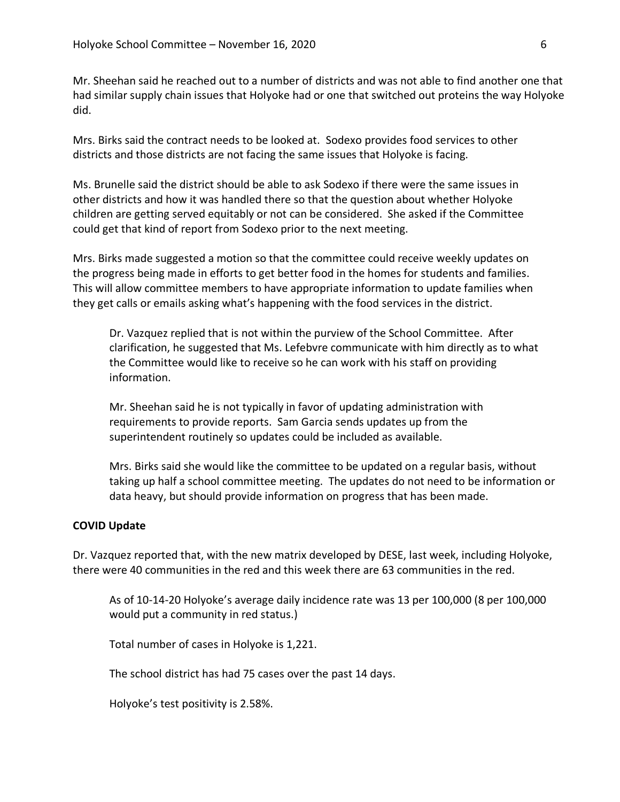Mr. Sheehan said he reached out to a number of districts and was not able to find another one that had similar supply chain issues that Holyoke had or one that switched out proteins the way Holyoke did.

Mrs. Birks said the contract needs to be looked at. Sodexo provides food services to other districts and those districts are not facing the same issues that Holyoke is facing.

Ms. Brunelle said the district should be able to ask Sodexo if there were the same issues in other districts and how it was handled there so that the question about whether Holyoke children are getting served equitably or not can be considered. She asked if the Committee could get that kind of report from Sodexo prior to the next meeting.

Mrs. Birks made suggested a motion so that the committee could receive weekly updates on the progress being made in efforts to get better food in the homes for students and families. This will allow committee members to have appropriate information to update families when they get calls or emails asking what's happening with the food services in the district.

Dr. Vazquez replied that is not within the purview of the School Committee. After clarification, he suggested that Ms. Lefebvre communicate with him directly as to what the Committee would like to receive so he can work with his staff on providing information.

Mr. Sheehan said he is not typically in favor of updating administration with requirements to provide reports. Sam Garcia sends updates up from the superintendent routinely so updates could be included as available.

Mrs. Birks said she would like the committee to be updated on a regular basis, without taking up half a school committee meeting. The updates do not need to be information or data heavy, but should provide information on progress that has been made.

## **COVID Update**

Dr. Vazquez reported that, with the new matrix developed by DESE, last week, including Holyoke, there were 40 communities in the red and this week there are 63 communities in the red.

As of 10-14-20 Holyoke's average daily incidence rate was 13 per 100,000 (8 per 100,000 would put a community in red status.)

Total number of cases in Holyoke is 1,221.

The school district has had 75 cases over the past 14 days.

Holyoke's test positivity is 2.58%.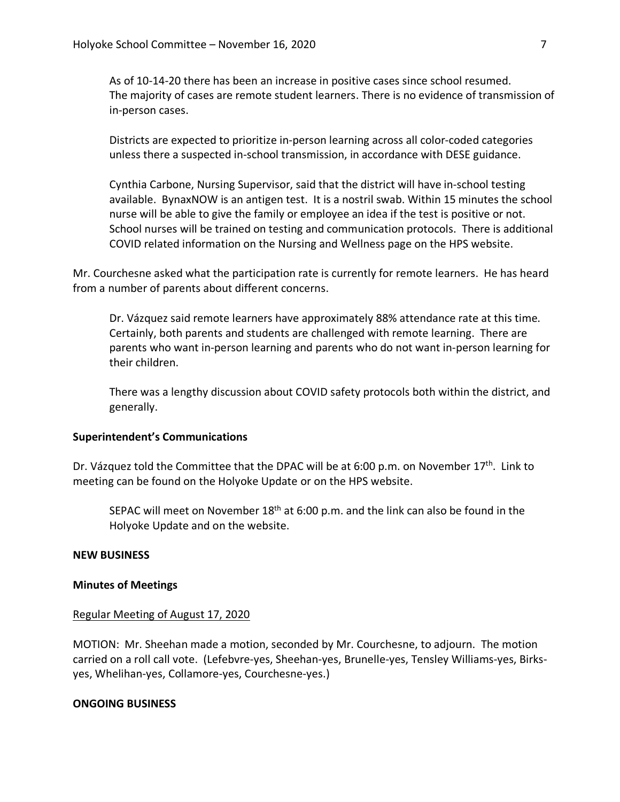As of 10-14-20 there has been an increase in positive cases since school resumed. The majority of cases are remote student learners. There is no evidence of transmission of in-person cases.

Districts are expected to prioritize in-person learning across all color-coded categories unless there a suspected in-school transmission, in accordance with DESE guidance.

Cynthia Carbone, Nursing Supervisor, said that the district will have in-school testing available. BynaxNOW is an antigen test. It is a nostril swab. Within 15 minutes the school nurse will be able to give the family or employee an idea if the test is positive or not. School nurses will be trained on testing and communication protocols. There is additional COVID related information on the Nursing and Wellness page on the HPS website.

Mr. Courchesne asked what the participation rate is currently for remote learners. He has heard from a number of parents about different concerns.

Dr. Vázquez said remote learners have approximately 88% attendance rate at this time. Certainly, both parents and students are challenged with remote learning. There are parents who want in-person learning and parents who do not want in-person learning for their children.

There was a lengthy discussion about COVID safety protocols both within the district, and generally.

### **Superintendent's Communications**

Dr. Vázquez told the Committee that the DPAC will be at 6:00 p.m. on November 17<sup>th</sup>. Link to meeting can be found on the Holyoke Update or on the HPS website.

SEPAC will meet on November  $18<sup>th</sup>$  at 6:00 p.m. and the link can also be found in the Holyoke Update and on the website.

#### **NEW BUSINESS**

#### **Minutes of Meetings**

#### Regular Meeting of August 17, 2020

MOTION: Mr. Sheehan made a motion, seconded by Mr. Courchesne, to adjourn. The motion carried on a roll call vote. (Lefebvre-yes, Sheehan-yes, Brunelle-yes, Tensley Williams-yes, Birksyes, Whelihan-yes, Collamore-yes, Courchesne-yes.)

## **ONGOING BUSINESS**